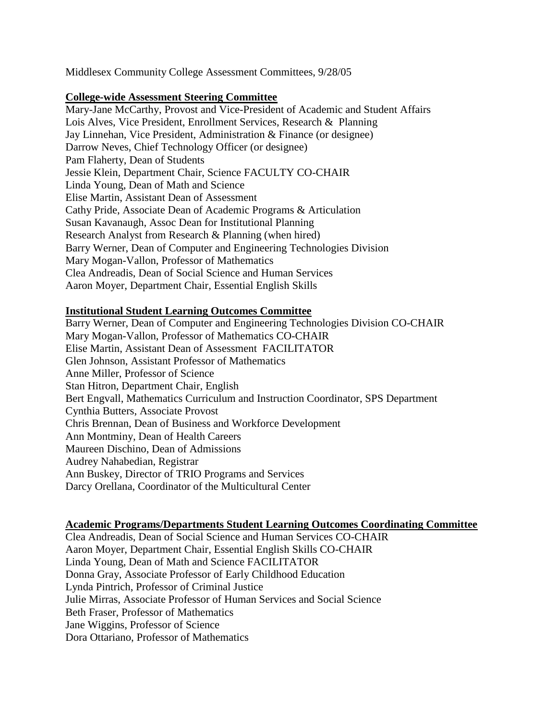Middlesex Community College Assessment Committees, 9/28/05

## **College-wide Assessment Steering Committee**

Mary-Jane McCarthy, Provost and Vice-President of Academic and Student Affairs Lois Alves, Vice President, Enrollment Services, Research & Planning Jay Linnehan, Vice President, Administration & Finance (or designee) Darrow Neves, Chief Technology Officer (or designee) Pam Flaherty, Dean of Students Jessie Klein, Department Chair, Science FACULTY CO-CHAIR Linda Young, Dean of Math and Science Elise Martin, Assistant Dean of Assessment Cathy Pride, Associate Dean of Academic Programs & Articulation Susan Kavanaugh, Assoc Dean for Institutional Planning Research Analyst from Research & Planning (when hired) Barry Werner, Dean of Computer and Engineering Technologies Division Mary Mogan-Vallon, Professor of Mathematics Clea Andreadis, Dean of Social Science and Human Services Aaron Moyer, Department Chair, Essential English Skills

## **Institutional Student Learning Outcomes Committee**

Barry Werner, Dean of Computer and Engineering Technologies Division CO-CHAIR Mary Mogan-Vallon, Professor of Mathematics CO-CHAIR Elise Martin, Assistant Dean of Assessment FACILITATOR Glen Johnson, Assistant Professor of Mathematics Anne Miller, Professor of Science Stan Hitron, Department Chair, English Bert Engvall, Mathematics Curriculum and Instruction Coordinator, SPS Department Cynthia Butters, Associate Provost Chris Brennan, Dean of Business and Workforce Development Ann Montminy, Dean of Health Careers Maureen Dischino, Dean of Admissions Audrey Nahabedian, Registrar Ann Buskey, Director of TRIO Programs and Services Darcy Orellana, Coordinator of the Multicultural Center

## **Academic Programs/Departments Student Learning Outcomes Coordinating Committee**

Clea Andreadis, Dean of Social Science and Human Services CO-CHAIR Aaron Moyer, Department Chair, Essential English Skills CO-CHAIR Linda Young, Dean of Math and Science FACILITATOR Donna Gray, Associate Professor of Early Childhood Education Lynda Pintrich, Professor of Criminal Justice Julie Mirras, Associate Professor of Human Services and Social Science Beth Fraser, Professor of Mathematics Jane Wiggins, Professor of Science Dora Ottariano, Professor of Mathematics